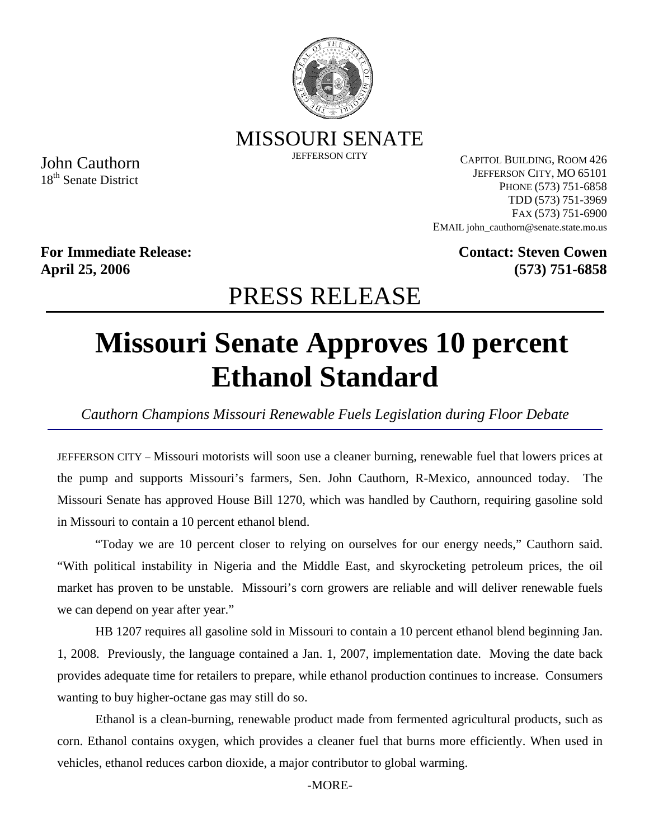

MISSOURI SENATE

JEFFERSON CITY

John Cauthorn 18<sup>th</sup> Senate District

CAPITOL BUILDING, ROOM 426 JEFFERSON CITY, MO 65101 PHONE (573) 751-6858 TDD (573) 751-3969 FAX (573) 751-6900 EMAIL john\_cauthorn@senate.state.mo.us

**For Immediate Release: April 25, 2006**

**Contact: Steven Cowen (573) 751-6858**

## PRESS RELEASE

## **Missouri Senate Approves 10 percent Ethanol Standard**

*Cauthorn Champions Missouri Renewable Fuels Legislation during Floor Debate* 

JEFFERSON CITY – Missouri motorists will soon use a cleaner burning, renewable fuel that lowers prices at the pump and supports Missouri's farmers, Sen. John Cauthorn, R-Mexico, announced today. The Missouri Senate has approved House Bill 1270, which was handled by Cauthorn, requiring gasoline sold in Missouri to contain a 10 percent ethanol blend.

"Today we are 10 percent closer to relying on ourselves for our energy needs," Cauthorn said. "With political instability in Nigeria and the Middle East, and skyrocketing petroleum prices, the oil market has proven to be unstable. Missouri's corn growers are reliable and will deliver renewable fuels we can depend on year after year."

HB 1207 requires all gasoline sold in Missouri to contain a 10 percent ethanol blend beginning Jan. 1, 2008. Previously, the language contained a Jan. 1, 2007, implementation date. Moving the date back provides adequate time for retailers to prepare, while ethanol production continues to increase. Consumers wanting to buy higher-octane gas may still do so.

Ethanol is a clean-burning, renewable product made from fermented agricultural products, such as corn. Ethanol contains oxygen, which provides a cleaner fuel that burns more efficiently. When used in vehicles, ethanol reduces carbon dioxide, a major contributor to global warming.

-MORE-